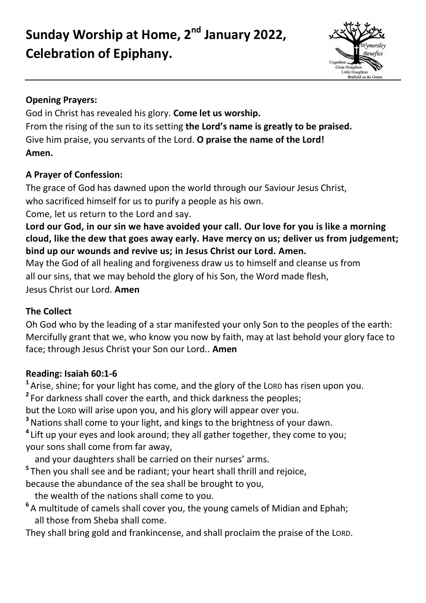Sunday Worship at Home, 2<sup>nd</sup> January 2022, **Celebration of Epiphany.**



### **Opening Prayers:**

God in Christ has revealed his glory. **Come let us worship.** From the rising of the sun to its setting **the Lord's name is greatly to be praised.** Give him praise, you servants of the Lord. **O praise the name of the Lord! Amen.**

# **A Prayer of Confession:**

The grace of God has dawned upon the world through our Saviour Jesus Christ, who sacrificed himself for us to purify a people as his own.

Come, let us return to the Lord and say.

**Lord our God, in our sin we have avoided your call. Our love for you is like a morning cloud, like the dew that goes away early. Have mercy on us; deliver us from judgement; bind up our wounds and revive us; in Jesus Christ our Lord. Amen.**

May the God of all healing and forgiveness draw us to himself and cleanse us from all our sins, that we may behold the glory of his Son, the Word made flesh, Jesus Christ our Lord. **Amen**

## **The Collect**

Oh God who by the leading of a star manifested your only Son to the peoples of the earth: Mercifully grant that we, who know you now by faith, may at last behold your glory face to face; through Jesus Christ your Son our Lord.. **Amen**

## **Reading: Isaiah 60:1-6**

**<sup>1</sup>**Arise, shine; for your light has come, and the glory of the LORD has risen upon you.

**2** For darkness shall cover the earth, and thick darkness the peoples;

but the LORD will arise upon you, and his glory will appear over you.

**<sup>3</sup>**Nations shall come to your light, and kings to the brightness of your dawn.

**4** Lift up your eyes and look around; they all gather together, they come to you; your sons shall come from far away,

and your daughters shall be carried on their nurses' arms.

**5** Then you shall see and be radiant; your heart shall thrill and rejoice,

because the abundance of the sea shall be brought to you,

the wealth of the nations shall come to you.

**6** A multitude of camels shall cover you, the young camels of Midian and Ephah; all those from Sheba shall come.

They shall bring gold and frankincense, and shall proclaim the praise of the LORD.